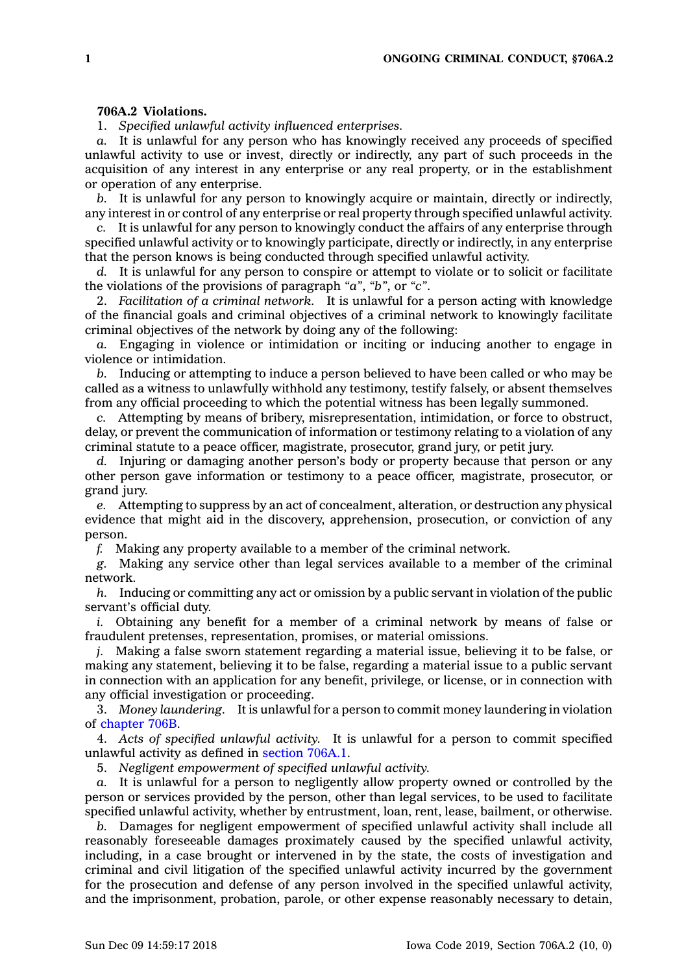## **706A.2 Violations.**

1. *Specified unlawful activity influenced enterprises.*

*a.* It is unlawful for any person who has knowingly received any proceeds of specified unlawful activity to use or invest, directly or indirectly, any part of such proceeds in the acquisition of any interest in any enterprise or any real property, or in the establishment or operation of any enterprise.

*b.* It is unlawful for any person to knowingly acquire or maintain, directly or indirectly, any interest in or control of any enterprise or real property through specified unlawful activity.

*c.* It is unlawful for any person to knowingly conduct the affairs of any enterprise through specified unlawful activity or to knowingly participate, directly or indirectly, in any enterprise that the person knows is being conducted through specified unlawful activity.

*d.* It is unlawful for any person to conspire or attempt to violate or to solicit or facilitate the violations of the provisions of paragraph *"a"*, *"b"*, or *"c"*.

2. *Facilitation of <sup>a</sup> criminal network.* It is unlawful for <sup>a</sup> person acting with knowledge of the financial goals and criminal objectives of <sup>a</sup> criminal network to knowingly facilitate criminal objectives of the network by doing any of the following:

*a.* Engaging in violence or intimidation or inciting or inducing another to engage in violence or intimidation.

*b.* Inducing or attempting to induce <sup>a</sup> person believed to have been called or who may be called as <sup>a</sup> witness to unlawfully withhold any testimony, testify falsely, or absent themselves from any official proceeding to which the potential witness has been legally summoned.

*c.* Attempting by means of bribery, misrepresentation, intimidation, or force to obstruct, delay, or prevent the communication of information or testimony relating to <sup>a</sup> violation of any criminal statute to <sup>a</sup> peace officer, magistrate, prosecutor, grand jury, or petit jury.

*d.* Injuring or damaging another person's body or property because that person or any other person gave information or testimony to <sup>a</sup> peace officer, magistrate, prosecutor, or grand jury.

*e.* Attempting to suppress by an act of concealment, alteration, or destruction any physical evidence that might aid in the discovery, apprehension, prosecution, or conviction of any person.

*f.* Making any property available to <sup>a</sup> member of the criminal network.

*g.* Making any service other than legal services available to <sup>a</sup> member of the criminal network.

*h.* Inducing or committing any act or omission by <sup>a</sup> public servant in violation of the public servant's official duty.

*i.* Obtaining any benefit for <sup>a</sup> member of <sup>a</sup> criminal network by means of false or fraudulent pretenses, representation, promises, or material omissions.

*j.* Making <sup>a</sup> false sworn statement regarding <sup>a</sup> material issue, believing it to be false, or making any statement, believing it to be false, regarding <sup>a</sup> material issue to <sup>a</sup> public servant in connection with an application for any benefit, privilege, or license, or in connection with any official investigation or proceeding.

3. *Money laundering.* It is unlawful for <sup>a</sup> person to commit money laundering in violation of [chapter](https://www.legis.iowa.gov/docs/code//706B.pdf) 706B.

4. *Acts of specified unlawful activity.* It is unlawful for <sup>a</sup> person to commit specified unlawful activity as defined in [section](https://www.legis.iowa.gov/docs/code/706A.1.pdf) 706A.1.

5. *Negligent empowerment of specified unlawful activity.*

*a.* It is unlawful for <sup>a</sup> person to negligently allow property owned or controlled by the person or services provided by the person, other than legal services, to be used to facilitate specified unlawful activity, whether by entrustment, loan, rent, lease, bailment, or otherwise.

*b.* Damages for negligent empowerment of specified unlawful activity shall include all reasonably foreseeable damages proximately caused by the specified unlawful activity, including, in <sup>a</sup> case brought or intervened in by the state, the costs of investigation and criminal and civil litigation of the specified unlawful activity incurred by the government for the prosecution and defense of any person involved in the specified unlawful activity, and the imprisonment, probation, parole, or other expense reasonably necessary to detain,